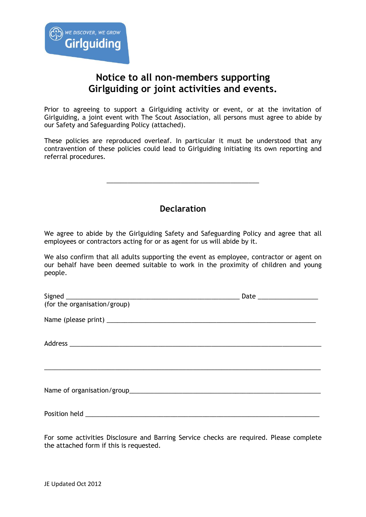# **Notice to all non-members supporting Girlguiding or joint activities and events.**

Prior to agreeing to support a Girlguiding activity or event, or at the invitation of Girlguiding, a joint event with The Scout Association, all persons must agree to abide by our Safety and Safeguarding Policy (attached).

These policies are reproduced overleaf. In particular it must be understood that any contravention of these policies could lead to Girlguiding initiating its own reporting and referral procedures.

## **Declaration**

\_\_\_\_\_\_\_\_\_\_\_\_\_\_\_\_\_\_\_\_\_\_\_\_\_\_\_\_\_\_\_\_\_\_\_\_\_\_\_\_\_\_\_

We agree to abide by the Girlguiding Safety and Safeguarding Policy and agree that all employees or contractors acting for or as agent for us will abide by it.

We also confirm that all adults supporting the event as employee, contractor or agent on our behalf have been deemed suitable to work in the proximity of children and young people.

| (for the organisation/group) |  |
|------------------------------|--|
|                              |  |
|                              |  |
|                              |  |
|                              |  |
|                              |  |
|                              |  |

For some activities Disclosure and Barring Service checks are required. Please complete the attached form if this is requested.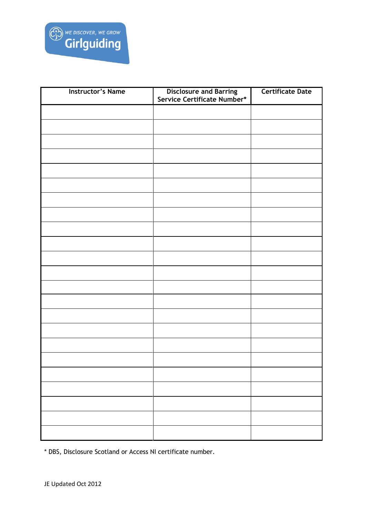

| <b>Instructor's Name</b> |                                                               | <b>Certificate Date</b> |
|--------------------------|---------------------------------------------------------------|-------------------------|
|                          | <b>Disclosure and Barring<br/>Service Certificate Number*</b> |                         |
|                          |                                                               |                         |
|                          |                                                               |                         |
|                          |                                                               |                         |
|                          |                                                               |                         |
|                          |                                                               |                         |
|                          |                                                               |                         |
|                          |                                                               |                         |
|                          |                                                               |                         |
|                          |                                                               |                         |
|                          |                                                               |                         |
|                          |                                                               |                         |
|                          |                                                               |                         |
|                          |                                                               |                         |
|                          |                                                               |                         |
|                          |                                                               |                         |
|                          |                                                               |                         |
|                          |                                                               |                         |
|                          |                                                               |                         |
|                          |                                                               |                         |
|                          |                                                               |                         |
|                          |                                                               |                         |
|                          |                                                               |                         |
|                          |                                                               |                         |
|                          |                                                               |                         |
|                          |                                                               |                         |
|                          |                                                               |                         |

\* DBS, Disclosure Scotland or Access NI certificate number.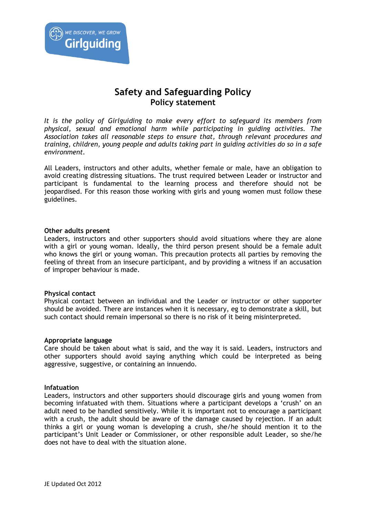

## **Safety and Safeguarding Policy Policy statement**

*It is the policy of Girlguiding to make every effort to safeguard its members from physical, sexual and emotional harm while participating in guiding activities. The Association takes all reasonable steps to ensure that, through relevant procedures and training, children, young people and adults taking part in guiding activities do so in a safe environment.*

All Leaders, instructors and other adults, whether female or male, have an obligation to avoid creating distressing situations. The trust required between Leader or instructor and participant is fundamental to the learning process and therefore should not be jeopardised. For this reason those working with girls and young women must follow these guidelines.

#### **Other adults present**

Leaders, instructors and other supporters should avoid situations where they are alone with a girl or young woman. Ideally, the third person present should be a female adult who knows the girl or young woman. This precaution protects all parties by removing the feeling of threat from an insecure participant, and by providing a witness if an accusation of improper behaviour is made.

## **Physical contact**

Physical contact between an individual and the Leader or instructor or other supporter should be avoided. There are instances when it is necessary, eg to demonstrate a skill, but such contact should remain impersonal so there is no risk of it being misinterpreted.

#### **Appropriate language**

Care should be taken about what is said, and the way it is said. Leaders, instructors and other supporters should avoid saying anything which could be interpreted as being aggressive, suggestive, or containing an innuendo.

#### **Infatuation**

Leaders, instructors and other supporters should discourage girls and young women from becoming infatuated with them. Situations where a participant develops a 'crush' on an adult need to be handled sensitively. While it is important not to encourage a participant with a crush, the adult should be aware of the damage caused by rejection. If an adult thinks a girl or young woman is developing a crush, she/he should mention it to the participant's Unit Leader or Commissioner, or other responsible adult Leader, so she/he does not have to deal with the situation alone.